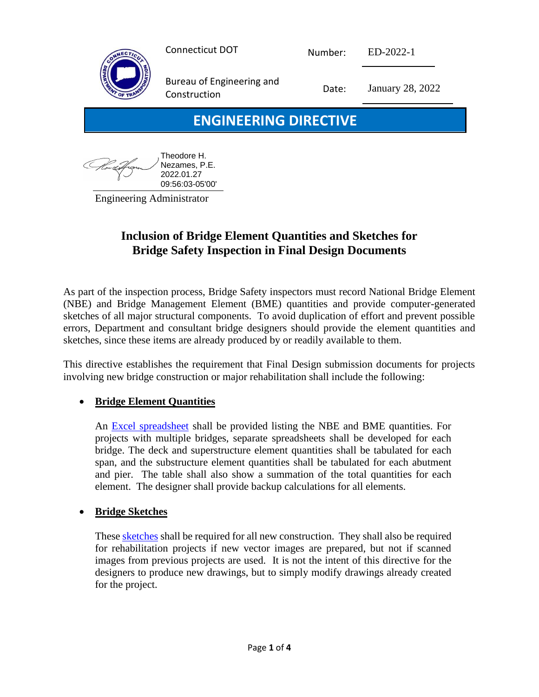|                              | <b>Connecticut DOT</b>                    | Number: | ED-2022-1        |  |
|------------------------------|-------------------------------------------|---------|------------------|--|
| <b>DEPART</b><br>OF TRAN     | Bureau of Engineering and<br>Construction | Date:   | January 28, 2022 |  |
| <b>ENGINEERING DIRECTIVE</b> |                                           |         |                  |  |
|                              | — — —                                     |         |                  |  |

| , Theodore H.<br>$^{\prime}$ Nezames, P.E. |
|--------------------------------------------|
| 2022.01.27                                 |
| 09:56:03-05'00'                            |

Engineering Administrator

### **Inclusion of Bridge Element Quantities and Sketches for Bridge Safety Inspection in Final Design Documents**

As part of the inspection process, Bridge Safety inspectors must record National Bridge Element (NBE) and Bridge Management Element (BME) quantities and provide computer-generated sketches of all major structural components. To avoid duplication of effort and prevent possible errors, Department and consultant bridge designers should provide the element quantities and sketches, since these items are already produced by or readily available to them.

This directive establishes the requirement that Final Design submission documents for projects involving new bridge construction or major rehabilitation shall include the following:

#### • **Bridge Element Quantities**

An [Excel spreadsheet](https://portal.ct.gov/-/media/DOT/documents/AEC/Bride_Safety_Samples.pdf) shall be provided listing the NBE and BME quantities. For projects with multiple bridges, separate spreadsheets shall be developed for each bridge. The deck and superstructure element quantities shall be tabulated for each span, and the substructure element quantities shall be tabulated for each abutment and pier. The table shall also show a summation of the total quantities for each element. The designer shall provide backup calculations for all elements.

#### • **Bridge Sketches**

These [sketches](https://portal.ct.gov/-/media/DOT/documents/AEC/Bride_Safety_Samples.pdf) shall be required for all new construction. They shall also be required for rehabilitation projects if new vector images are prepared, but not if scanned images from previous projects are used. It is not the intent of this directive for the designers to produce new drawings, but to simply modify drawings already created for the project.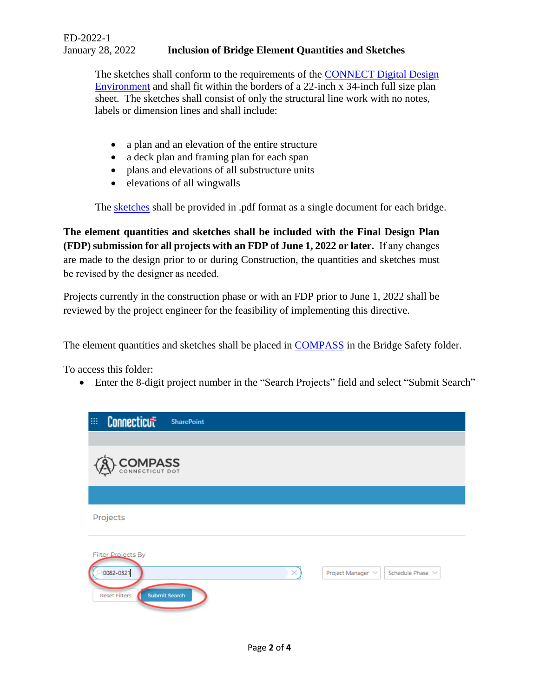The sketches shall conform to the requirements of the [CONNECT Digital Design](https://portal.ct.gov/DOT/Engineering-Applications/CTDOT---CONNECT-DDE)  [Environment](https://portal.ct.gov/DOT/Engineering-Applications/CTDOT---CONNECT-DDE) and shall fit within the borders of a 22-inch x 34-inch full size plan sheet. The sketches shall consist of only the structural line work with no notes, labels or dimension lines and shall include:

- a plan and an elevation of the entire structure
- a deck plan and framing plan for each span
- plans and elevations of all substructure units
- elevations of all wingwalls

The [sketches](https://portal.ct.gov/-/media/DOT/documents/AEC/Bride_Safety_Samples.pdf) shall be provided in .pdf format as a single document for each bridge.

**The element quantities and sketches shall be included with the Final Design Plan (FDP) submission for all projects with an FDP of June 1, 2022 or later.** If any changes are made to the design prior to or during Construction, the quantities and sketches must be revised by the designer as needed. 

Projects currently in the construction phase or with an FDP prior to June 1, 2022 shall be reviewed by the project engineer for the feasibility of implementing this directive.

The element quantities and sketches shall be placed in [COMPASS](https://ctgovexec.sharepoint.com/projects/Pages/Projects.aspx) in the Bridge Safety folder.

To access this folder:

• Enter the 8-digit project number in the "Search Projects" field and select "Submit Search"

| Connecticut<br>$\mathop{\mathbb{H}}$<br><b>SharePoint</b>                             |                                                 |
|---------------------------------------------------------------------------------------|-------------------------------------------------|
| COMPASS                                                                               |                                                 |
| Projects                                                                              |                                                 |
| <b>Filter Projects By</b><br>0082-0321<br>×.<br>Submit Search<br><b>Reset Filters</b> | Project Manager $\vee$<br>Schedule Phase $\vee$ |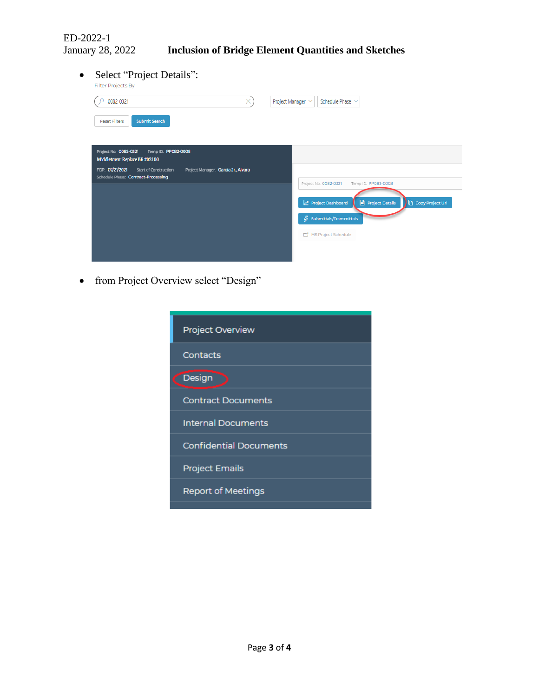ED-2022-1

• Select "Project Details":

| Filter Projects By                                                                                                             |                                                                 |
|--------------------------------------------------------------------------------------------------------------------------------|-----------------------------------------------------------------|
| 0082-0321<br>×                                                                                                                 | Project Manager V<br>Schedule Phase $\vee$                      |
| <b>Submit Search</b><br><b>Reset Filters</b>                                                                                   |                                                                 |
| Project No. 0082-0321<br>Temp ID. PP082-0008<br>Middletown: Replace BR #02100                                                  |                                                                 |
| FDP: 07/21/2021<br>Project Manager: Garcia Jr., Alvaro<br><b>Start of Construction:</b><br>Schedule Phase: Contract-Processing | Project No. 0082-0321<br>Temp ID. PP082-0008                    |
|                                                                                                                                | $\Box$ Project Details<br>Copy Project Url<br>Project Dashboard |
|                                                                                                                                | $\beta$ Submittals/Transmittals                                 |
|                                                                                                                                | MS Project Schedule                                             |
|                                                                                                                                |                                                                 |

• from Project Overview select "Design"

| <b>Project Overview</b>       |  |  |
|-------------------------------|--|--|
| Contacts                      |  |  |
| Design                        |  |  |
| <b>Contract Documents</b>     |  |  |
| <b>Internal Documents</b>     |  |  |
| <b>Confidential Documents</b> |  |  |
| <b>Project Emails</b>         |  |  |
| <b>Report of Meetings</b>     |  |  |